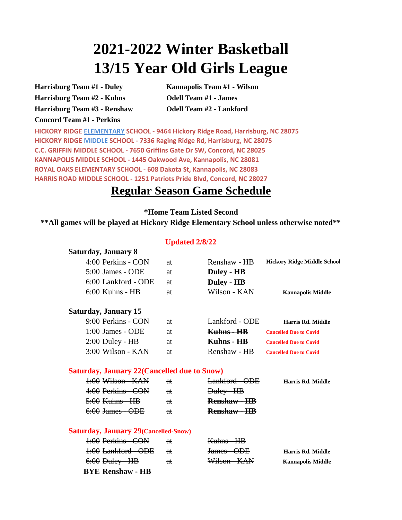# **2021-2022 Winter Basketball 13/15 Year Old Girls League**

**Harrisburg Team #1 - Duley Harrisburg Team #2 - Kuhns Harrisburg Team #3 - Renshaw Concord Team #1 - Perkins** 

**Kannapolis Team #1 - Wilson Odell Team #1 - James Odell Team #2 - Lankford**

**C.C. GRIFFIN MIDDLE SCHOOL - 7650 Griffins Gate Dr SW, Concord, NC 28025 ROYAL OAKS ELEMENTARY SCHOOL - 608 Dakota St, Kannapolis, NC 28083 HICKORY RIDGE ELEMENTARY SCHOOL - 9464 Hickory Ridge Road, Harrisburg, NC 28075 KANNAPOLIS MIDDLE SCHOOL - 1445 Oakwood Ave, Kannapolis, NC 28081 HARRIS ROAD MIDDLE SCHOOL - 1251 Patriots Pride Blvd, Concord, NC 28027 HICKORY RIDGE MIDDLE SCHOOL - 7336 Raging Ridge Rd, Harrisburg, NC 28075**

### **Regular Season Game Schedule**

**\*Home Team Listed Second**

**\*\*All games will be played at Hickory Ridge Elementary School unless otherwise noted\*\*** 

#### 4:00 Perkins - CON at Renshaw - HB 5:00 James - ODE at **Duley - HB** 6:00 Lankford - ODE at **Duley - HB** 6:00 Kuhns - HB at Wilson - KAN 9:00 Perkins - CON at Lankford - ODE 1:00 James - ODE at **Kuhns - HB** 2:00 Duley - HB at **Kuhns - HB** 3:00 Wilson - KAN at Renshaw - HB **Updated 2/8/22 Saturday, January 15 Saturday, January 8 Hickory Ridge Middle School Harris Rd. Middle Cancelled Due to Covid Cancelled Due to Covid Cancelled Due to Covid Kannapolis Middle**

#### **Saturday, January 22(Cancelled due to Snow)**

| 1:00 Wilson - KAN          | ₩             | Lankford - ODE      | Harris Rd. Middle |
|----------------------------|---------------|---------------------|-------------------|
| 4:00 Perkins - CON         | ₩             | Duley - HB          |                   |
| <del>5:00 Kuhns - HB</del> | <del>at</del> | <b>Renshaw - HB</b> |                   |
| 6:00 James - ODE           | ₩             | <b>Renshaw - HB</b> |                   |

#### **Saturday, January 29(Cancelled-Snow)**

| BYE Renshaw - HB    |               |              |                          |
|---------------------|---------------|--------------|--------------------------|
| $6:00$ Duley - HB   | €ŧ            | Wilson - KAN | <b>Kannapolis Middle</b> |
| 1:00 Lankford - ODE | <del>at</del> | James - ODE  | <b>Harris Rd. Middle</b> |
| 1:00 Perkins - CON  | <del>at</del> | Kuhns - HB   |                          |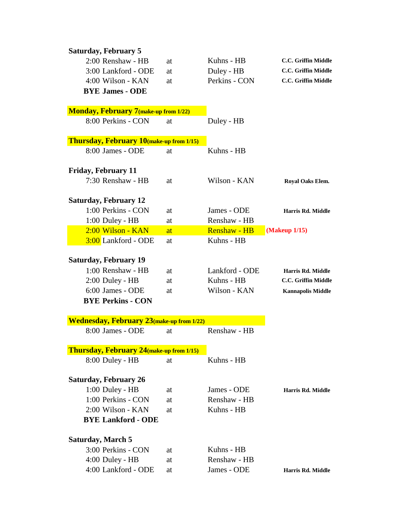| <b>Saturday, February 5</b>                       |          |                     |                                          |
|---------------------------------------------------|----------|---------------------|------------------------------------------|
| 2:00 Renshaw - HB                                 | at       | Kuhns - HB          | C.C. Griffin Middle                      |
| 3:00 Lankford - ODE                               | at       | Duley - HB          | C.C. Griffin Middle                      |
| $4:00$ Wilson - KAN                               | at       | Perkins - CON       | C.C. Griffin Middle                      |
| <b>BYE James - ODE</b>                            |          |                     |                                          |
|                                                   |          |                     |                                          |
| <b>Monday, February 7 (make-up from 1/22)</b>     |          |                     |                                          |
| 8:00 Perkins - CON                                | at       | Duley - HB          |                                          |
| Thursday, February 10(make-up from 1/15)          |          |                     |                                          |
| 8:00 James - ODE                                  | at       | Kuhns - HB          |                                          |
| <b>Friday, February 11</b>                        |          |                     |                                          |
| 7:30 Renshaw - HB                                 | at       | Wilson - KAN        | Royal Oaks Elem.                         |
| <b>Saturday, February 12</b>                      |          |                     |                                          |
| 1:00 Perkins - CON                                | at       | James - ODE         | Harris Rd. Middle                        |
| 1:00 Duley - HB                                   | at       | Renshaw - HB        |                                          |
| 2:00 Wilson - KAN                                 | at       | <b>Renshaw - HB</b> | (Makeup 1/15)                            |
| 3:00 Lankford - ODE                               | at       | Kuhns - HB          |                                          |
| <b>Saturday, February 19</b>                      |          |                     |                                          |
| $1:00$ Renshaw - HB                               |          | Lankford - ODE      |                                          |
| $2:00$ Duley - HB                                 | at<br>at | Kuhns - HB          | Harris Rd. Middle<br>C.C. Griffin Middle |
| 6:00 James - ODE                                  | at       | Wilson - KAN        | <b>Kannapolis Middle</b>                 |
| <b>BYE Perkins - CON</b>                          |          |                     |                                          |
|                                                   |          |                     |                                          |
| <b>Wednesday, February 23</b> (make-up from 1/22) |          |                     |                                          |
| 8:00 James - ODE                                  | at       | Renshaw - HB        |                                          |
|                                                   |          |                     |                                          |
| <b>Thursday, February 24 (make-up from 1/15)</b>  |          |                     |                                          |
| 8:00 Duley - HB                                   | at       | Kuhns - HB          |                                          |
|                                                   |          |                     |                                          |
| <b>Saturday, February 26</b>                      |          |                     |                                          |
| 1:00 Duley - HB                                   | at       | James - ODE         | Harris Rd. Middle                        |
| 1:00 Perkins - CON                                | at       | Renshaw - HB        |                                          |
| 2:00 Wilson - KAN                                 | at       | Kuhns - HB          |                                          |
| <b>BYE Lankford - ODE</b>                         |          |                     |                                          |
| <b>Saturday, March 5</b>                          |          |                     |                                          |
| 3:00 Perkins - CON                                | at       | Kuhns - HB          |                                          |
| 4:00 Duley - HB                                   | at       | Renshaw - HB        |                                          |
| 4:00 Lankford - ODE                               | at       | James - ODE         | Harris Rd. Middle                        |